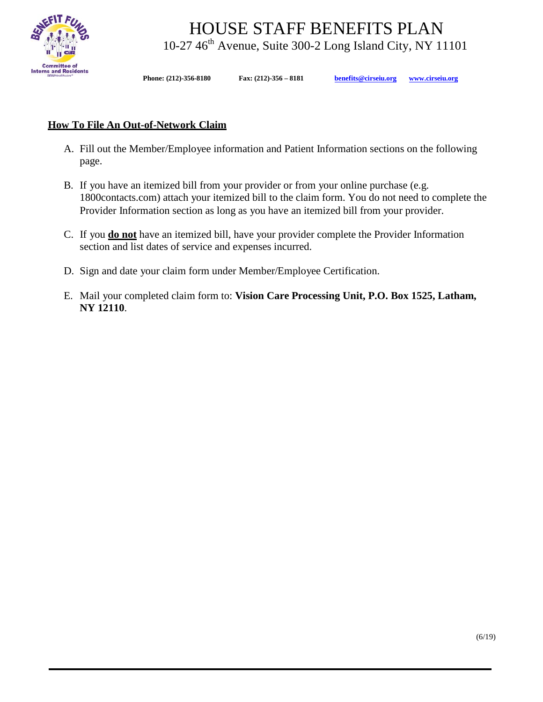

HOUSE STAFF BENEFITS PLAN<br>10-27 46<sup>th</sup> Avenue, Suite 300-2 Long Island City, NY 11101

**Phone: (212)-356-8180 Fax: (212)-356 – 8181 [benefits@cirseiu.org](mailto:benefits@cirseiu.org) [www.cirseiu.org](http://www.cirseiu.org/)**

## **How To File An Out-of-Network Claim**

- A. Fill out the Member/Employee information and Patient Information sections on the following page.
- B. If you have an itemized bill from your provider or from your online purchase (e.g. 1800contacts.com) attach your itemized bill to the claim form. You do not need to complete the Provider Information section as long as you have an itemized bill from your provider.
- C. If you **do not** have an itemized bill, have your provider complete the Provider Information section and list dates of service and expenses incurred.
- D. Sign and date your claim form under Member/Employee Certification.
- E. Mail your completed claim form to: **Vision Care Processing Unit, P.O. Box 1525, Latham, NY 12110**.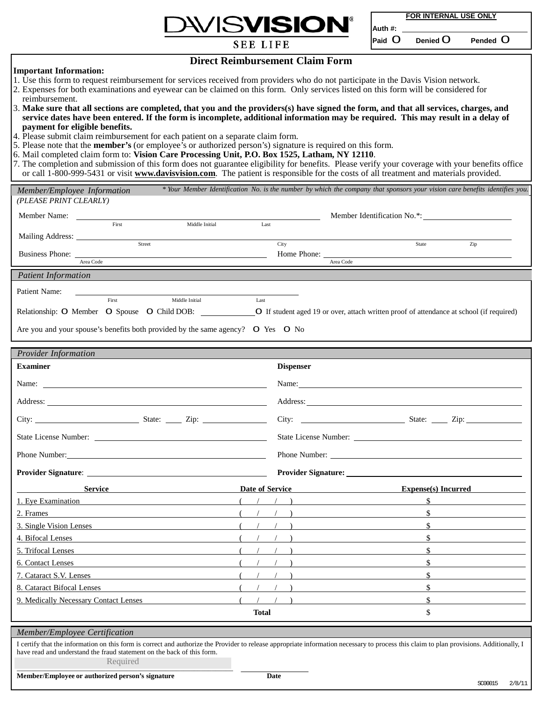

**FOR INTERNAL USE ONLY**

**Auth #:** 

**Paid** 0 **Denied** 0 **Pended** 0

**SEE LIFE** 

**Direct Reimbursement Claim Form**

## **Important Information:**

- 1. Use this form to request reimbursement for services received from providers who do not participate in the Davis Vision network.
- 2. Expenses for both examinations and eyewear can be claimed on this form. Only services listed on this form will be considered for reimbursement.
- 3. Make sure that all sections are completed, that you and the providers(s) have signed the form, and that all services, charges, and service dates have been entered. If the form is incomplete, additional information may be required. This may result in a delay of **payment for eligible benefits.**
- 4. Please submit claim reimbursement for each patient on a separate claim form.
- 5. Please note that the **member's** (or employee's or authorized person's) signature is required on this form.
- 6. Mail completed claim form to: **Vision Care Processing Unit, P.O. Box 1525, Latham, NY 12110**.
- 7. The completion and submission of this form does not guarantee eligibility for benefits. Please verify your coverage with your benefits office or call 1-800-999-5431 or visit **[www.davisvision.com](http://www.davisvision.com/)**. The patient is responsible for the costs of all treatment and materials provided.

| Member/Employee Information                                                                                                                                                                                                                                        |              |                  | * Your Member Identification No. is the number by which the company that sponsors your vision care benefits identifies you.                                                                                                                                                                                                                                          |  |
|--------------------------------------------------------------------------------------------------------------------------------------------------------------------------------------------------------------------------------------------------------------------|--------------|------------------|----------------------------------------------------------------------------------------------------------------------------------------------------------------------------------------------------------------------------------------------------------------------------------------------------------------------------------------------------------------------|--|
| (PLEASE PRINT CLEARLY)                                                                                                                                                                                                                                             |              |                  |                                                                                                                                                                                                                                                                                                                                                                      |  |
| Middle Initial<br>First                                                                                                                                                                                                                                            | Last         |                  | Member Identification No.*:                                                                                                                                                                                                                                                                                                                                          |  |
|                                                                                                                                                                                                                                                                    |              |                  |                                                                                                                                                                                                                                                                                                                                                                      |  |
| Street                                                                                                                                                                                                                                                             |              | City             | Zip<br>State                                                                                                                                                                                                                                                                                                                                                         |  |
| Area Code                                                                                                                                                                                                                                                          |              |                  | Area Code                                                                                                                                                                                                                                                                                                                                                            |  |
| <b>Patient Information</b>                                                                                                                                                                                                                                         |              |                  |                                                                                                                                                                                                                                                                                                                                                                      |  |
| Patient Name:                                                                                                                                                                                                                                                      |              |                  |                                                                                                                                                                                                                                                                                                                                                                      |  |
| First<br>Middle Initial                                                                                                                                                                                                                                            | Last         |                  |                                                                                                                                                                                                                                                                                                                                                                      |  |
|                                                                                                                                                                                                                                                                    |              |                  |                                                                                                                                                                                                                                                                                                                                                                      |  |
| Are you and your spouse's benefits both provided by the same agency? O Yes O No                                                                                                                                                                                    |              |                  |                                                                                                                                                                                                                                                                                                                                                                      |  |
| <b>Provider Information</b>                                                                                                                                                                                                                                        |              |                  |                                                                                                                                                                                                                                                                                                                                                                      |  |
| <b>Examiner</b>                                                                                                                                                                                                                                                    |              | <b>Dispenser</b> |                                                                                                                                                                                                                                                                                                                                                                      |  |
|                                                                                                                                                                                                                                                                    |              | Name:            |                                                                                                                                                                                                                                                                                                                                                                      |  |
|                                                                                                                                                                                                                                                                    |              |                  |                                                                                                                                                                                                                                                                                                                                                                      |  |
|                                                                                                                                                                                                                                                                    |              |                  |                                                                                                                                                                                                                                                                                                                                                                      |  |
|                                                                                                                                                                                                                                                                    |              |                  |                                                                                                                                                                                                                                                                                                                                                                      |  |
|                                                                                                                                                                                                                                                                    |              |                  |                                                                                                                                                                                                                                                                                                                                                                      |  |
|                                                                                                                                                                                                                                                                    |              |                  |                                                                                                                                                                                                                                                                                                                                                                      |  |
|                                                                                                                                                                                                                                                                    |              |                  | Date of Service<br>$\mathbf{Express}(s)$ Incurred                                                                                                                                                                                                                                                                                                                    |  |
| 1. Eye Examination                                                                                                                                                                                                                                                 |              |                  | $\sim$ $\sim$<br>$($ $/$ $/$ $)$ $\frac{1}{\sqrt{2}}$ $\frac{1}{\sqrt{2}}$ $\frac{1}{\sqrt{2}}$ $\frac{1}{\sqrt{2}}$ $\frac{1}{\sqrt{2}}$ $\frac{1}{\sqrt{2}}$ $\frac{1}{\sqrt{2}}$ $\frac{1}{\sqrt{2}}$ $\frac{1}{\sqrt{2}}$ $\frac{1}{\sqrt{2}}$ $\frac{1}{\sqrt{2}}$ $\frac{1}{\sqrt{2}}$ $\frac{1}{\sqrt{2}}$ $\frac{1}{\sqrt{2}}$ $\frac{1}{\sqrt{2}}$ $\frac{$ |  |
| 2. Frames                                                                                                                                                                                                                                                          |              |                  | \$                                                                                                                                                                                                                                                                                                                                                                   |  |
| 3. Single Vision Lenses                                                                                                                                                                                                                                            |              |                  | $\mathbb{S}$                                                                                                                                                                                                                                                                                                                                                         |  |
| 4. Bifocal Lenses                                                                                                                                                                                                                                                  |              |                  | $\mathbb{S}$                                                                                                                                                                                                                                                                                                                                                         |  |
| 5. Trifocal Lenses                                                                                                                                                                                                                                                 |              |                  | $\mathbb{S}$                                                                                                                                                                                                                                                                                                                                                         |  |
| 6. Contact Lenses                                                                                                                                                                                                                                                  |              |                  | $\mathbb{S}$                                                                                                                                                                                                                                                                                                                                                         |  |
| 7. Cataract S.V. Lenses                                                                                                                                                                                                                                            |              |                  | \$                                                                                                                                                                                                                                                                                                                                                                   |  |
| 8. Cataract Bifocal Lenses                                                                                                                                                                                                                                         |              |                  | \$                                                                                                                                                                                                                                                                                                                                                                   |  |
| 9. Medically Necessary Contact Lenses                                                                                                                                                                                                                              |              |                  | $\frac{1}{2}$                                                                                                                                                                                                                                                                                                                                                        |  |
|                                                                                                                                                                                                                                                                    | <b>Total</b> |                  | \$                                                                                                                                                                                                                                                                                                                                                                   |  |
| Member/Employee Certification                                                                                                                                                                                                                                      |              |                  |                                                                                                                                                                                                                                                                                                                                                                      |  |
| I certify that the information on this form is correct and authorize the Provider to release appropriate information necessary to process this claim to plan provisions. Additionally, I<br>have read and understand the fraud statement on the back of this form. |              |                  |                                                                                                                                                                                                                                                                                                                                                                      |  |
| Required                                                                                                                                                                                                                                                           |              |                  |                                                                                                                                                                                                                                                                                                                                                                      |  |

**Member/Employee or authorized person's signature Date**